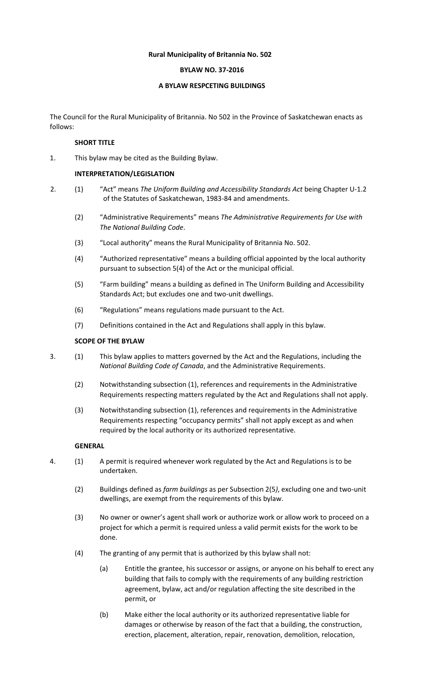## **Rural Municipality of Britannia No. 502**

## **BYLAW NO. 37-2016**

### **A BYLAW RESPCETING BUILDINGS**

The Council for the Rural Municipality of Britannia. No 502 in the Province of Saskatchewan enacts as follows:

## **SHORT TITLE**

1. This bylaw may be cited as the Building Bylaw.

### **INTERPRETATION/LEGISLATION**

- 2. (1) "Act" means *The Uniform Building and Accessibility Standards Act* being Chapter U-1.2 of the Statutes of Saskatchewan, 1983-84 and amendments.
	- (2) "Administrative Requirements" means *The Administrative Requirements for Use with The National Building Code*.
	- (3) "Local authority" means the Rural Municipality of Britannia No. 502.
	- (4) "Authorized representative" means a building official appointed by the local authority pursuant to subsection 5(4) of the Act or the municipal official.
	- (5) "Farm building" means a building as defined in The Uniform Building and Accessibility Standards Act; but excludes one and two-unit dwellings.
	- (6) "Regulations" means regulations made pursuant to the Act.
	- (7) Definitions contained in the Act and Regulations shall apply in this bylaw.

## **SCOPE OF THE BYLAW**

- 3. (1) This bylaw applies to matters governed by the Act and the Regulations, including the *National Building Code of Canada*, and the Administrative Requirements.
	- (2) Notwithstanding subsection (1), references and requirements in the Administrative Requirements respecting matters regulated by the Act and Regulations shall not apply.
	- (3) Notwithstanding subsection (1), references and requirements in the Administrative Requirements respecting "occupancy permits" shall not apply except as and when required by the local authority or its authorized representative.

### **GENERAL**

- 4. (1) A permit is required whenever work regulated by the Act and Regulations is to be undertaken.
	- (2) Buildings defined as *farm buildings* as per Subsection 2(5*)*, excluding one and two-unit dwellings, are exempt from the requirements of this bylaw.
	- (3) No owner or owner's agent shall work or authorize work or allow work to proceed on a project for which a permit is required unless a valid permit exists for the work to be done.
	- (4) The granting of any permit that is authorized by this bylaw shall not:
		- (a) Entitle the grantee, his successor or assigns, or anyone on his behalf to erect any building that fails to comply with the requirements of any building restriction agreement, bylaw, act and/or regulation affecting the site described in the permit, or
		- (b) Make either the local authority or its authorized representative liable for damages or otherwise by reason of the fact that a building, the construction, erection, placement, alteration, repair, renovation, demolition, relocation,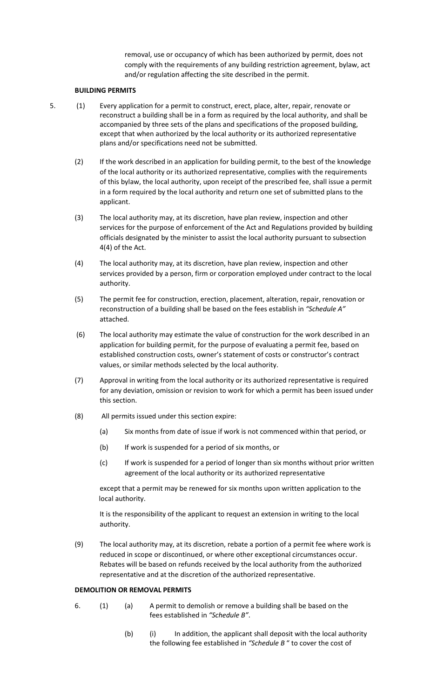removal, use or occupancy of which has been authorized by permit, does not comply with the requirements of any building restriction agreement, bylaw, act and/or regulation affecting the site described in the permit.

## **BUILDING PERMITS**

- 5. (1) Every application for a permit to construct, erect, place, alter, repair, renovate or reconstruct a building shall be in a form as required by the local authority, and shall be accompanied by three sets of the plans and specifications of the proposed building, except that when authorized by the local authority or its authorized representative plans and/or specifications need not be submitted.
	- (2) If the work described in an application for building permit, to the best of the knowledge of the local authority or its authorized representative, complies with the requirements of this bylaw, the local authority, upon receipt of the prescribed fee, shall issue a permit in a form required by the local authority and return one set of submitted plans to the applicant.
	- (3) The local authority may, at its discretion, have plan review, inspection and other services for the purpose of enforcement of the Act and Regulations provided by building officials designated by the minister to assist the local authority pursuant to subsection 4(4) of the Act.
	- (4) The local authority may, at its discretion, have plan review, inspection and other services provided by a person, firm or corporation employed under contract to the local authority.
	- (5) The permit fee for construction, erection, placement, alteration, repair, renovation or reconstruction of a building shall be based on the fees establish in *"Schedule A"* attached.
	- (6) The local authority may estimate the value of construction for the work described in an application for building permit, for the purpose of evaluating a permit fee, based on established construction costs, owner's statement of costs or constructor's contract values, or similar methods selected by the local authority.
	- (7) Approval in writing from the local authority or its authorized representative is required for any deviation, omission or revision to work for which a permit has been issued under this section.
	- (8) All permits issued under this section expire:
		- (a) Six months from date of issue if work is not commenced within that period, or
		- (b) If work is suspended for a period of six months, or
		- (c) If work is suspended for a period of longer than six months without prior written agreement of the local authority or its authorized representative

except that a permit may be renewed for six months upon written application to the local authority.

It is the responsibility of the applicant to request an extension in writing to the local authority.

(9) The local authority may, at its discretion, rebate a portion of a permit fee where work is reduced in scope or discontinued, or where other exceptional circumstances occur. Rebates will be based on refunds received by the local authority from the authorized representative and at the discretion of the authorized representative.

#### **DEMOLITION OR REMOVAL PERMITS**

- 6. (1) (a) A permit to demolish or remove a building shall be based on the fees established in *"Schedule B"*.
	- (b) (i) In addition, the applicant shall deposit with the local authority the following fee established in *"Schedule B* " to cover the cost of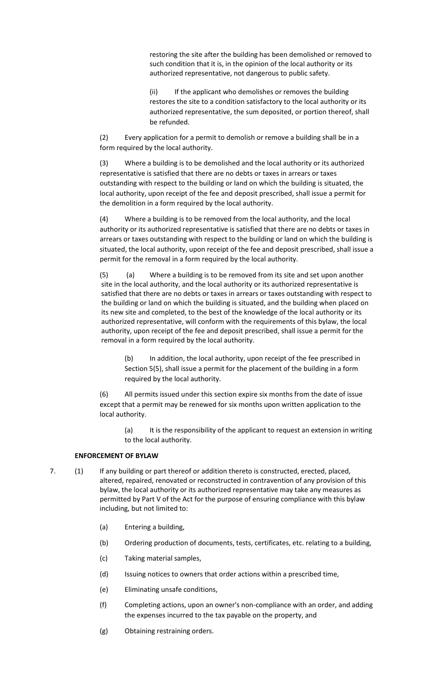restoring the site after the building has been demolished or removed to such condition that it is, in the opinion of the local authority or its authorized representative, not dangerous to public safety.

(ii) If the applicant who demolishes or removes the building restores the site to a condition satisfactory to the local authority or its authorized representative, the sum deposited, or portion thereof, shall be refunded.

(2) Every application for a permit to demolish or remove a building shall be in a form required by the local authority.

(3) Where a building is to be demolished and the local authority or its authorized representative is satisfied that there are no debts or taxes in arrears or taxes outstanding with respect to the building or land on which the building is situated, the local authority, upon receipt of the fee and deposit prescribed, shall issue a permit for the demolition in a form required by the local authority.

(4) Where a building is to be removed from the local authority, and the local authority or its authorized representative is satisfied that there are no debts or taxes in arrears or taxes outstanding with respect to the building or land on which the building is situated, the local authority, upon receipt of the fee and deposit prescribed, shall issue a permit for the removal in a form required by the local authority.

(a) Where a building is to be removed from its site and set upon another site in the local authority, and the local authority or its authorized representative is satisfied that there are no debts or taxes in arrears or taxes outstanding with respect to the building or land on which the building is situated, and the building when placed on its new site and completed, to the best of the knowledge of the local authority or its authorized representative, will conform with the requirements of this bylaw, the local authority, upon receipt of the fee and deposit prescribed, shall issue a permit for the removal in a form required by the local authority.

(b) In addition, the local authority, upon receipt of the fee prescribed in Section 5(5), shall issue a permit for the placement of the building in a form required by the local authority.

(6) All permits issued under this section expire six months from the date of issue except that a permit may be renewed for six months upon written application to the local authority.

(a) It is the responsibility of the applicant to request an extension in writing to the local authority.

### **ENFORCEMENT OF BYLAW**

- 7. (1) If any building or part thereof or addition thereto is constructed, erected, placed, altered, repaired, renovated or reconstructed in contravention of any provision of this bylaw, the local authority or its authorized representative may take any measures as permitted by Part V of the Act for the purpose of ensuring compliance with this bylaw including, but not limited to:
	- (a) Entering a building,
	- (b) Ordering production of documents, tests, certificates, etc. relating to a building,
	- (c) Taking material samples,
	- (d) Issuing notices to owners that order actions within a prescribed time,
	- (e) Eliminating unsafe conditions,
	- (f) Completing actions, upon an owner's non-compliance with an order, and adding the expenses incurred to the tax payable on the property, and
	- (g) Obtaining restraining orders.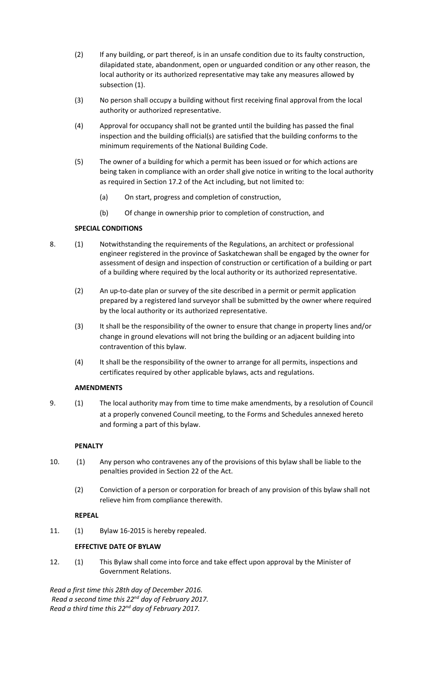- (2) If any building, or part thereof, is in an unsafe condition due to its faulty construction, dilapidated state, abandonment, open or unguarded condition or any other reason, the local authority or its authorized representative may take any measures allowed by subsection (1).
- (3) No person shall occupy a building without first receiving final approval from the local authority or authorized representative.
- (4) Approval for occupancy shall not be granted until the building has passed the final inspection and the building official(s) are satisfied that the building conforms to the minimum requirements of the National Building Code.
- (5) The owner of a building for which a permit has been issued or for which actions are being taken in compliance with an order shall give notice in writing to the local authority as required in Section 17.2 of the Act including, but not limited to:
	- (a) On start, progress and completion of construction,
	- (b) Of change in ownership prior to completion of construction, and

## **SPECIAL CONDITIONS**

- 8. (1) Notwithstanding the requirements of the Regulations, an architect or professional engineer registered in the province of Saskatchewan shall be engaged by the owner for assessment of design and inspection of construction or certification of a building or part of a building where required by the local authority or its authorized representative.
	- (2) An up-to-date plan or survey of the site described in a permit or permit application prepared by a registered land surveyor shall be submitted by the owner where required by the local authority or its authorized representative.
	- (3) It shall be the responsibility of the owner to ensure that change in property lines and/or change in ground elevations will not bring the building or an adjacent building into contravention of this bylaw.
	- (4) It shall be the responsibility of the owner to arrange for all permits, inspections and certificates required by other applicable bylaws, acts and regulations.

## **AMENDMENTS**

9. (1) The local authority may from time to time make amendments, by a resolution of Council at a properly convened Council meeting, to the Forms and Schedules annexed hereto and forming a part of this bylaw.

## **PENALTY**

- 10. (1) Any person who contravenes any of the provisions of this bylaw shall be liable to the penalties provided in Section 22 of the Act.
	- (2) Conviction of a person or corporation for breach of any provision of this bylaw shall not relieve him from compliance therewith.

### **REPEAL**

11. (1) Bylaw 16-2015 is hereby repealed.

## **EFFECTIVE DATE OF BYLAW**

12. (1) This Bylaw shall come into force and take effect upon approval by the Minister of Government Relations.

*Read a first time this 28th day of December 2016. Read a second time this 22nd day of February 2017. Read a third time this 22nd day of February 2017.*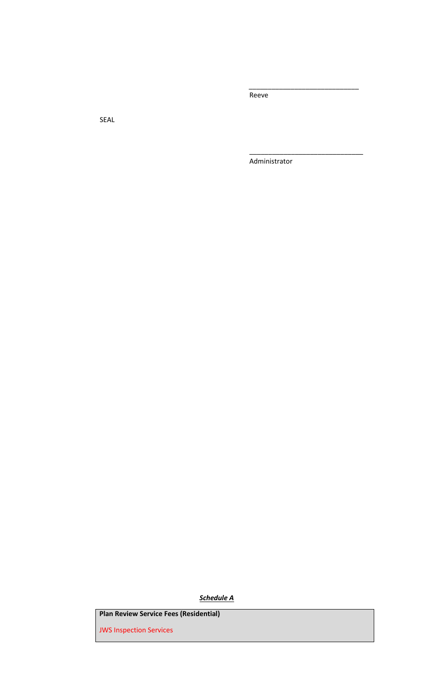Reeve

*\_\_\_\_\_\_\_\_\_\_\_\_\_\_\_\_\_\_\_\_\_\_\_\_\_\_\_\_\_*

\_\_\_\_\_\_\_\_\_\_\_\_\_\_\_\_\_\_\_\_\_\_\_\_\_\_\_\_\_\_

SEAL

Administrator

*Schedule A*

**Plan Review Service Fees (Residential)** 

JWS Inspection Services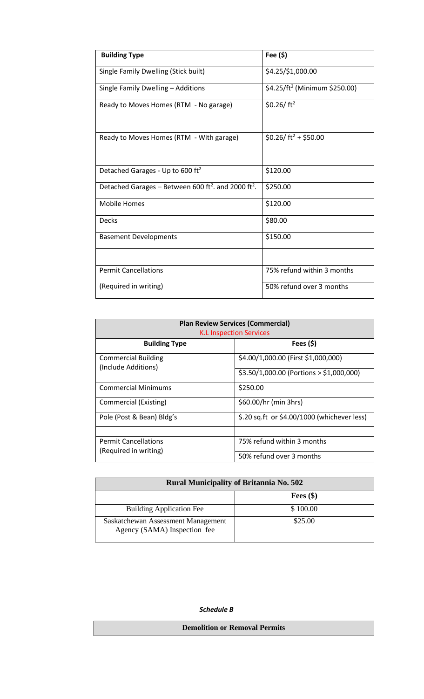| <b>Building Type</b>                                                        | Fee (\$)                                  |
|-----------------------------------------------------------------------------|-------------------------------------------|
| Single Family Dwelling (Stick built)                                        | \$4.25/\$1,000.00                         |
| Single Family Dwelling - Additions                                          | \$4.25/ft <sup>2</sup> (Minimum \$250.00) |
| Ready to Moves Homes (RTM - No garage)                                      | \$0.26/ $ft^2$                            |
| Ready to Moves Homes (RTM - With garage)                                    | \$0.26/ ft <sup>2</sup> + \$50.00         |
| Detached Garages - Up to 600 ft <sup>2</sup>                                | \$120.00                                  |
| Detached Garages - Between 600 ft <sup>2</sup> . and 2000 ft <sup>2</sup> . | \$250.00                                  |
| <b>Mobile Homes</b>                                                         | \$120.00                                  |
| <b>Decks</b>                                                                | \$80.00                                   |
| <b>Basement Developments</b>                                                | \$150.00                                  |
|                                                                             |                                           |
| <b>Permit Cancellations</b>                                                 | 75% refund within 3 months                |
| (Required in writing)                                                       | 50% refund over 3 months                  |

| <b>Plan Review Services (Commercial)</b><br><b>K.L Inspection Services</b> |                                             |  |
|----------------------------------------------------------------------------|---------------------------------------------|--|
| <b>Building Type</b>                                                       | Fees $(5)$                                  |  |
| <b>Commercial Building</b><br>(Include Additions)                          | \$4.00/1,000.00 (First \$1,000,000)         |  |
|                                                                            | $$3.50/1,000.00$ (Portions > \$1,000,000)   |  |
| <b>Commercial Minimums</b>                                                 | \$250.00                                    |  |
| Commercial (Existing)                                                      | \$60.00/hr (min 3hrs)                       |  |
| Pole (Post & Bean) Bldg's                                                  | \$.20 sq.ft or \$4.00/1000 (whichever less) |  |
|                                                                            |                                             |  |
| <b>Permit Cancellations</b><br>(Required in writing)                       | 75% refund within 3 months                  |  |
|                                                                            | 50% refund over 3 months                    |  |

| <b>Rural Municipality of Britannia No. 502</b>                     |             |  |
|--------------------------------------------------------------------|-------------|--|
|                                                                    | Fees $(\$)$ |  |
| <b>Building Application Fee</b>                                    | \$100.00    |  |
| Saskatchewan Assessment Management<br>Agency (SAMA) Inspection fee | \$25.00     |  |

# *Schedule B*

**Demolition or Removal Permits**